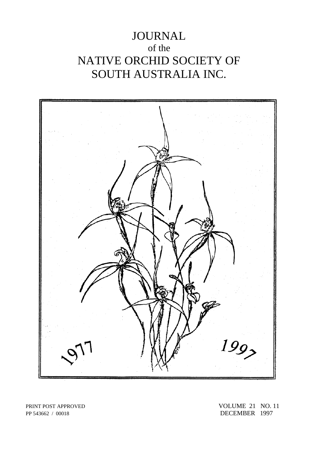# JOURNAL of the NATIVE ORCHID SOCIETY OF SOUTH AUSTRALIA INC.



PP 543662 / 00018 DECEMBER 1997

PRINT POST APPROVED VOLUME 21 NO. 11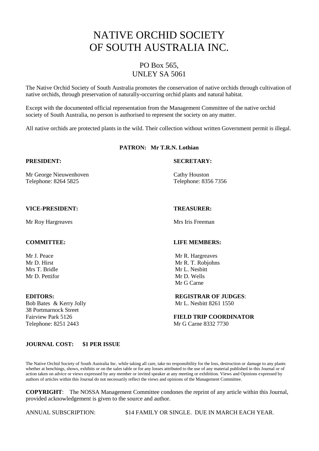# NATIVE ORCHID SOCIETY OF SOUTH AUSTRALIA INC.

## PO Box 565, UNLEY SA 5061

The Native Orchid Society of South Australia promotes the conservation of native orchids through cultivation of native orchids, through preservation of naturally-occurring orchid plants and natural habitat.

Except with the documented official representation from the Management Committee of the native orchid society of South Australia, no person is authorised to represent the society on any matter.

All native orchids are protected plants in the wild. Their collection without written Government permit is illegal.

### **PATRON: Mr T.R.N. Lothian**

**PRESIDENT: SECRETARY:**

Mr George Nieuwenhoven Cathy Houston Telephone: 8264 5825 Telephone: 8356 7356

### **VICE-PRESIDENT: TREASURER:**

Mr Roy Hargreaves Mrs Iris Freeman

Mr D. Pettifor Mr D. Wells

38 Portmarnock Street Telephone: 8251 2443 Mr G Carne 8332 7730

#### **COMMITTEE: LIFE MEMBERS:**

Mr J. Peace Mr R. Hargreaves Mr D. Hirst Mr R. T. Robjohns Mrs T. Bridle Mrs L. Nesbitt Mr G Carne

**EDITORS: REGISTRAR OF JUDGES**: Bob Bates & Kerry Jolly Mr L. Nesbitt 8261 1550

Fairview Park 5126 **FIELD TRIP COORDINATOR**

#### **JOURNAL COST: \$1 PER ISSUE**

The Native Orchid Society of South Australia Inc. while taking all care, take no responsibility for the loss, destruction or damage to any plants whether at benchings, shows, exhibits or on the sales table or for any losses attributed to the use of any material published in this Journal or of action taken on advice or views expressed by any member or invited speaker at any meeting or exhibition. Views and Opinions expressed by authors of articles within this Journal do not necessarily reflect the views and opinions of the Management Committee.

**COPYRIGHT**: The NOSSA Management Committee condones the reprint of any article within this Journal, provided acknowledgement is given to the source and author.

ANNUAL SUBSCRIPTION: \$14 FAMILY OR SINGLE. DUE IN MARCH EACH YEAR.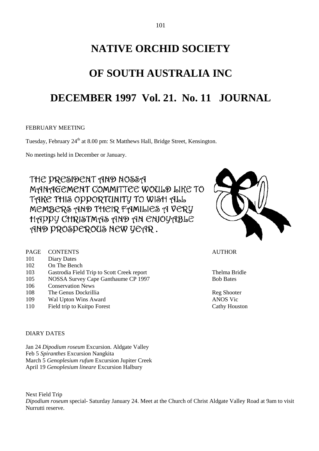# **NATIVE ORCHID SOCIETY**

# **OF SOUTH AUSTRALIA INC**

## **DECEMBER 1997 Vol. 21. No. 11 JOURNAL**

#### FEBRUARY MEETING

Tuesday, February 24<sup>th</sup> at 8.00 pm: St Matthews Hall, Bridge Street, Kensington.

No meetings held in December or January.

THE PRESIDENT AND NOSSA MANAGEMENT COMMITTEE WOULD LIKE TO TAKE THIS OPPORTUNITY TO WISH ALL MEMBERS AND THEIR FAMILIES A VERY HAPPY CHRISTMAS AND AN ENJOYABLE AND PROSPEROUS NEW YEAR.

| PAGE CONTENTS<br><b>AUTHOR</b> |  |
|--------------------------------|--|
|--------------------------------|--|

- 101 Diary Dates
- 102 On The Bench
- 103 Gastrodia Field Trip to Scott Creek report Thelma Bridle
- 105 NOSSA Survey Cape Ganthaume CP 1997 Bob Bates
- 106 Conservation News
- 108 The Genus Dockrillia **Register Shooter** Reg Shooter
- 109 Wal Upton Wins Award ANOS Vic
- 110 Field trip to Kuitpo Forest Cathy Houston

## DIARY DATES

Jan 24 *Dipodium roseum* Excursion. Aldgate Valley Feb 5 *Spiranthes* Excursion Nangkita March 5 *Genoplesium rufum* Excursion Jupiter Creek April 19 *Genoplesium lineare* Excursion Halbury

Next Field Trip *Dipodium roseum* special- Saturday January 24. Meet at the Church of Christ Aldgate Valley Road at 9am to visit Nurrutti reserve.

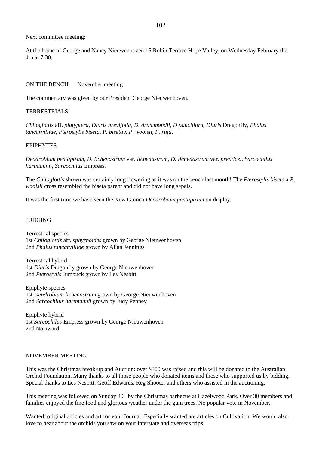Next committee meeting:

At the home of George and Nancy Nieuwenhoven 15 Robin Terrace Hope Valley, on Wednesday February the 4th at  $7.30$ .

#### ON THE BENCH November meeting

The commentary was given by our President George Nieuwenhoven.

#### TERRESTRIALS

*Chiloglottis* aff. *platyptera, Diuris brevifolia, D. drummondii, D pauciflora, Diuris* Dragonfly, *Phaius tancarvilliae, Pterostylis biseta, P. biseta x P. woolsii, P. rufa*.

#### EPIPHYTES

*Dendrobium pentaptrum, D. lichenastrum* var. *lichenastrum, D. lichenastrum* var. *prenticei, Sarcochilus hartmannii, Sarcochilus* Empress.

The *Chiloglottis* shown was certainly long flowering as it was on the bench last month! The *Pterostylis biseta x P*. *woolsii* cross resembled the biseta parent and did not have long sepals.

It was the first time we have seen the New Guinea *Dendrobium pentaptrum* on display.

#### JUDGING

Terrestrial species 1st *Chiloglottis* aff. *sphyrnoides* grown by George Nieuwenhoven 2nd *Phaius tancarvilliae* grown by Allan Jennings

Terrestrial hybrid 1st *Diuris* Dragonfly grown by George Nieuwenhoven 2nd *Pterostylis* Jumbuck grown by Les Nesbitt

Epiphyte species 1st *Dendrobium lichenastrum* grown by George Nieuwenhoven 2nd *Sarcochilus hartmannii* grown by Judy Penney

Epiphyte hybrid 1st *Sarcochilus* Empress grown by George Nieuwenhoven 2nd No award

### NOVEMBER MEETING

This was the Christmas break-up and Auction: over \$300 was raised and this will be donated to the Australian Orchid Foundation. Many thanks to all those people who donated items and those who supported us by bidding. Special thanks to Les Nesbitt, Geoff Edwards, Reg Shooter and others who assisted in the auctioning.

This meeting was followed on Sunday 30<sup>th</sup> by the Christmas barbecue at Hazelwood Park. Over 30 members and families enjoyed the fine food and glorious weather under the gum trees. No popular vote in November.

Wanted: original articles and art for your Journal. Especially wanted are articles on Cultivation. We would also love to hear about the orchids you saw on your interstate and overseas trips.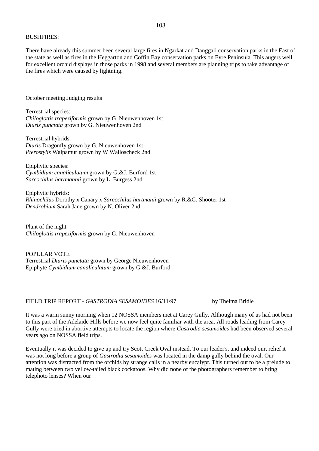#### BUSHFIRES:

There have already this summer been several large fires in Ngarkat and Danggali conservation parks in the East of the state as well as fires in the Heggarton and Coffin Bay conservation parks on Eyre Peninsula. This augers well for excellent orchid displays in those parks in 1998 and several members are planning trips to take advantage of the fires which were caused by lightning.

October meeting Judging results

Terrestrial species: *Chiloglottis trapeziformis* grown by G. Nieuwenhoven 1st *Diuris punctata* grown by G. Nieuwenhoven 2nd

Terrestrial hybrids: *Diuris* Dragonfly grown by G. Nieuwenhoven 1st *Pterostylis* Walpamur grown by W Walloscheck 2nd

Epiphytic species: *Cymbidium canaliculatum* grown by G.&J. Burford 1st *Sarcochilus hartmannii* grown by L. Burgess 2nd

Epiphytic hybrids: *Rhinochilus* Dorothy x Canary x *Sarcochilus hartmanii* grown by R.&G. Shooter 1st *Dendrobium* Sarah Jane grown by N. Oliver 2nd

Plant of the night *Chiloglottis trapeziformis* grown by G. Nieuwenhoven

POPULAR VOTE Terrestrial *Diuris punctata* grown by George Nieuwenhoven Epiphyte *Cymbidium canaliculatum* grown by G.&J. Burford

FIELD TRIP REPORT - *GASTRODIA SESAMOIDES* 16/11/97 by Thelma Bridle

It was a warm sunny morning when 12 NOSSA members met at Carey Gully. Although many of us had not been to this part of the Adelaide Hills before we now feel quite familiar with the area. All roads leading from Carey Gully were tried in abortive attempts to locate the region where *Gastrodia sesamoides* had been observed several years ago on NOSSA field trips.

Eventually it was decided to give up and try Scott Creek Oval instead. To our leader's, and indeed our, relief it was not long before a group of *Gastrodia sesamoides* was located in the damp gully behind the oval. Our attention was distracted from the orchids by strange calls in a nearby eucalypt. This turned out to be a prelude to mating between two yellow-tailed black cockatoos. Why did none of the photographers remember to bring telephoto lenses? When our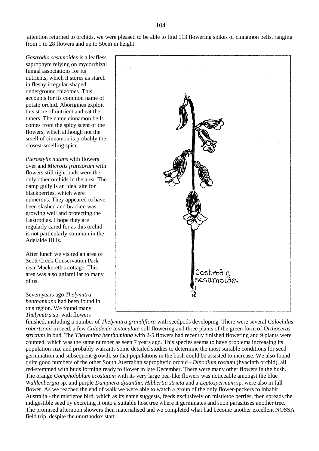attention returned to orchids, we were pleased to be able to find 113 flowering spikes of cinnamon bells, ranging from 1 to 28 flowers and up to 50cm in height.

*Gastrodia sesamoides* is a leafless saprophyte relying on mycorrhizal fungal associations for its nutrients, which it stores as starch in fleshy irregular-shaped underground rhizomes. This accounts for its common name of potato orchid. Aborigines exploit this store of nutrient and eat the tubers. The name cinnamon bells comes from the spicy scent of the flowers, which although not the smell of cinnamon is probably the closest-smelling spice.

*Pterostylis nutans* with flowers over and *Microtis frutetorum* with flowers still tight buds were the only other orchids in the area. The damp gully is an ideal site for blackberries, which were numerous. They appeared to have been slashed and bracken was growing well and protecting the Gastrodias. I hope they are regularly cared for as this orchid is not particularly common in the Adelaide Hills.

After lunch we visited an area of Scott Creek Conservation Park near Mackereth's cottage. This area was also unfamiliar to many of us.

Seven years ago *Thelymitra benthamiana* had been found in this region. We found many *Thelymitra* sp. with flowers



finished, including a number of *Thelymitra grandiflora* with seedpods developing. There were several *Calochilus robertsonii* in seed, a few *Caladenia tentaculata* still flowering and three plants of the green form of *Orthoceras strictum* in bud. The *Thelymitra benthamiana* with 2-5 flowers had recently finished flowering and 9 plants were counted, which was the same number as seen 7 years ago. This species seems to have problems increasing its population size and probably warrants some detailed studies to determine the most suitable conditions for seed germination and subsequent growth, so that populations in the bush could be assisted to increase. We also found quite good numbers of the other South Australian saprophytic orchid - *Dipodium roseum* (hyacinth orchid), all red-stemmed with buds forming ready to flower in late December. There were many other flowers in the bush. The orange *Gompholoblum ecostatum* with its very large pea-like flowers was noticeable amongst the blue *Wahlenbergia* sp. and purple *Dampiera dysantha*. *Hibbertia stricta* and a *Leptospermum* sp. were also in full flower. As we reached the end of walk we were able to watch a group of the only flower-peckers to inhabit Australia - the mistletoe bird, which as its name suggests, feeds exclusively on mistletoe berries, then spreads the indigestible seed by excreting it onto a suitable host tree where it germinates and soon parasitises another tree. The promised afternoon showers then materialised and we completed what had become another excellent NOSSA field trip, despite the unorthodox start.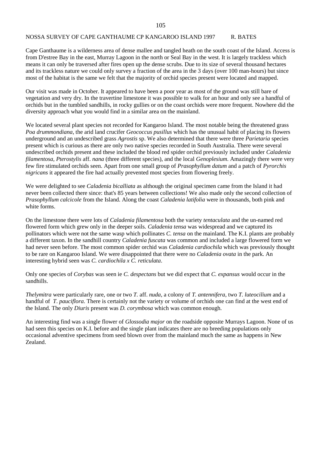### NOSSA SURVEY OF CAPE GANTHAUME CP KANGAROO ISLAND 1997 R. BATES

Cape Ganthaume is a wilderness area of dense mallee and tangled heath on the south coast of the Island. Access is from D'estree Bay in the east, Murray Lagoon in the north or Seal Bay in the west. It is largely trackless which means it can only be traversed after fires open up the dense scrubs. Due to its size of several thousand hectares and its trackless nature we could only survey a fraction of the area in the 3 days (over 100 man-hours) but since most of the habitat is the same we felt that the majority of orchid species present were located and mapped.

Our visit was made in October. It appeared to have been a poor year as most of the ground was still bare of vegetation and very dry. In the travertine limestone it was possible to walk for an hour and only see a handful of orchids but in the tumbled sandhills, in rocky gullies or on the coast orchids were more frequent. Nowhere did the diversity approach what you would find in a similar area on the mainland.

We located several plant species not recorded for Kangaroo Island. The most notable being the threatened grass *Poa drummondiana*, the arid land crucifer *Geococcus pusillus* which has the unusual habit of placing its flowers underground and an undescribed grass *Agrostis* sp. We also determined that there were three *Parietaria* species present which is curious as there are only two native species recorded in South Australia. There were several undescribed orchids present and these included the blood red spider orchid previously included under *Caladenia filamentosa, Pterostylis* aff. *nana* (three different species), and the local *Genoplesium*. Amazingly there were very few fire stimulated orchids seen. Apart from one small group of *Prasophyllum datum* and a patch of *Pyrorchis nigricans* it appeared the fire had actually prevented most species from flowering freely.

We were delighted to see *Caladenia bicalliata* as although the original specimen came from the Island it had never been collected there since: that's 85 years between collections! We also made only the second collection of *Prasophyllum calcicole* from the Island. Along the coast *Caladenia latifolia* were in thousands, both pink and white forms.

On the limestone there were lots of *Caladenia filamentosa* both the variety *tentaculata* and the un-named red flowered form which grew only in the deeper soils. *Caladenia tensa* was widespread and we captured its pollinators which were not the same wasp which pollinates *C. tensa* on the mainland. The K.I. plants are probably a different taxon. In the sandhill country *Caladenia fuscata* was common and included a large flowered form we had never seen before. The most common spider orchid was *Caladenia cardiochila* which was previously thought to be rare on Kangaroo Island. We were disappointed that there were no *Caladenia ovata* in the park. An interesting hybrid seen was *C. cardiochila x C. reticulata*.

Only one species of *Corybas* was seen ie *C. despectans* but we did expect that *C. expansus* would occur in the sandhills.

*Thelymitra* were particularly rare, one or two *T.* aff. *nuda*, a colony of *T. antennifera*, two *T. luteocilium* and a handful of *T*. *pauciflora.* There is certainly not the variety or volume of orchids one can find at the west end of the Island. The only *Diuris* present was *D. corymbosa* which was common enough.

An interesting find was a single flower of *Glossodia major* on the roadside opposite Murrays Lagoon. None of us had seen this species on K.I. before and the single plant indicates there are no breeding populations only occasional adventive specimens from seed blown over from the mainland much the same as happens in New Zealand.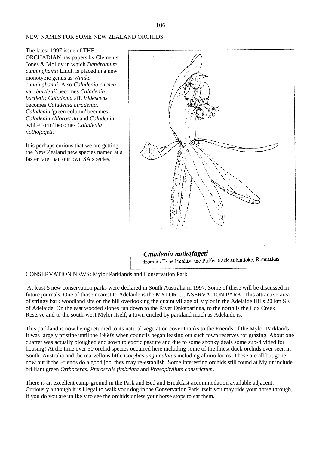## NEW NAMES FOR SOME NEW ZEALAND ORCHIDS

The latest 1997 issue of THE ORCHADIAN has papers by Clements, Jones & Molloy in which *Dendrobium cunninghamii* Lindl. is placed in a new monotypic genus as *Winika cunninghamii.* Also *Caladenia carnea* var. *bartlettii* becomes *Caladenia bartletii; Caladenia* aff. *iridescens* becomes *Caladenia atradenia, Caladenia* 'green column' becomes *Caladenia chlorostyla* and *Caladenia* 'white form' becomes *Caladenia nothofageti.*

It is perhaps curious that we are getting the New Zealand new species named at a faster rate than our own SA species.



#### CONSERVATION NEWS: Mylor Parklands and Conservation Park

At least 5 new conservation parks were declared in South Australia in 1997. Some of these will be discussed in future journals. One of those nearest to Adelaide is the MYLOR CONSERVATION PARK. This attractive area of stringy bark woodland sits on the hill overlooking the quaint village of Mylor in the Adelaide Hills 20 km SE of Adelaide. On the east wooded slopes run down to the River Onkaparinga, to the north is the Cox Creek Reserve and to the south-west Mylor itself, a town circled by parkland much as Adelaide is.

This parkland is now being returned to its natural vegetation cover thanks to the Friends of the Mylor Parklands. It was largely pristine until the 1960's when councils began leasing out such town reserves for grazing. About one quarter was actually ploughed and sown to exotic pasture and due to some shonky deals some sub-divided for housing! At the time over 50 orchid species occurred here including some of the finest duck orchids ever seen in South. Australia and the marvellous little *Corybas unguiculatus* including albino forms. These are all but gone now but if the Friends do a good job, they may re-establish. Some interesting orchids still found at Mylor include brilliant green *Orthoceras*, *Pterostylis fimbriata* and *Prasophyllum constrictum*.

There is an excellent camp-ground in the Park and Bed and Breakfast accommodation available adjacent. Curiously although it is illegal to walk your dog in the Conservation Park itself you may ride your horse through, if you do you are unlikely to see the orchids unless your horse stops to eat them.

106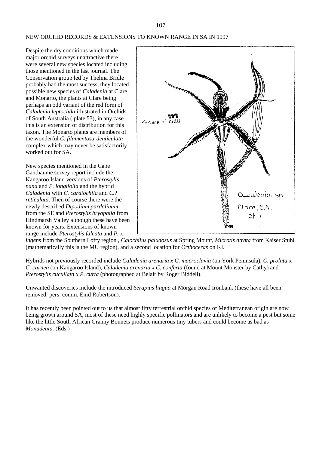#### NEW ORCHID RECORDS & EXTENSIONS TO KNOWN RANGE IN SA IN 1997

Despite the dry conditions which made major orchid surveys unattractive there were several new species located including those mentioned in the last journal. The Conservation group led by Thelma Bridle probably had the most success, they located possible new species of *Caladenia* at Clare and Monarto, the plants at Clare being perhaps an odd variant of the red form of *Caladenia leptochila* illustrated in Orchids of South Australia ( plate 53), in any case this is an extension of distribution for this taxon. The Monarto plants are members of the wonderful *C. filamentosa-denticulata* complex which may never be satisfactorily worked out for SA.

New species mentioned in the Cape Ganthaume survey report include the Kangaroo Island versions of *Pterostylis nana* and *P. longifolia* and the hybrid *Caladenia* with *C. cardiochila* and *C.*? *reticulata*. Then of course there were the newly described *Dipodium pardalinum* from the SE and *Pterostylis bryophila* from Hindmarsh Valley although these have been known for years. Extensions of known range include *Pterostylis falcata* and *P.* x



*ingens* from the Southern Lofty region , *Calochilus paludosus* at Spring Mount, *Microtis atrata* from Kaiser Stuhl (mathematically this is the MU region), and a second location for *Orthoceras* on KI.

Hybrids not previously recorded include *Caladenia arenaria x C. macroclavia* (on York Peninsula), *C. prolata* x *C. carnea* (on Kangaroo Island), *Caladenia arenaria x C. conferta* (found at Mount Monster by Cathy) and *Pterostylis cucullata x P. curta* (photographed at Belair by Roger Biddell).

Unwanted discoveries include the introduced *Serapius lingua* at Morgan Road Ironbank (these have all been removed: pers. comm. Enid Robertson).

It has recently been pointed out to us that almost fifty terrestrial orchid species of Mediterranean origin are now being grown around SA, most of these need highly specific pollinators and are unlikely to become a pest but some like the little South African Granny Bonnets produce numerous tiny tubers and could become as bad as *Monadenia*. (Eds.)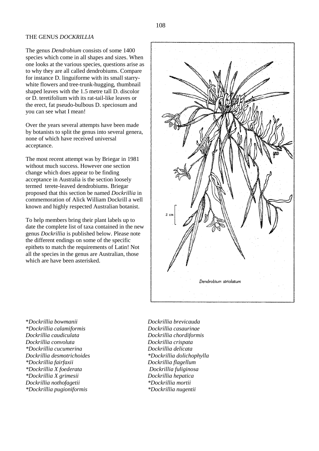#### THE GENUS *DOCKRILLIA*

The genus *Dendrobium* consists of some 1400 species which come in all shapes and sizes. When one looks at the various species, questions arise as to why they are all called dendrobiums. Compare for instance D. linguiforme with its small starrywhite flowers and tree-trunk-hugging, thumbnail shaped leaves with the 1.5 metre tall D. discolor or D. teretifolium with its rat-tail-like leaves or the erect, fat pseudo-bulbous D. speciosum and you can see what I mean!

Over the years several attempts have been made by botanists to split the genus into several genera, none of which have received universal acceptance.

The most recent attempt was by Briegar in 1981 without much success. However one section change which does appear to be finding acceptance in Australia is the section loosely termed terete-leaved dendrobiums. Briegar proposed that this section be named *Dockrillia* in commemoration of Alick William Dockrill a well known and highly respected Australian botanist.

To help members bring their plant labels up to date the complete list of taxa contained in the new genus *Dockrillia* is published below. Please note the different endings on some of the specific epithets to match the requirements of Latin! Not all the species in the genus are Australian, those which are have been asterisked.



\**Dockrillia bowmanii Dockrillia brevicauda \*Dockrillia calamiformis Dockrillia casaurinae Dockrillia caudiculata Dockrillia chordiformis Dockrillia convoluta Dockrillia crispata \*Dockrillia cucumerina Dockrillia delicata Dockrillia desmotrichoides \*Dockrillia dolichophylla \*Dockrillia fairfaxii Dockrillia flagellum \*Dockrillia X foederata Dockrillia fuliginosa \*Dockrillia X grimesii Dockrillia hepatica Dockrillia nothofagetii \*Dockrillia mortii \*Dockrillia pugioniformis \*Dockrillia nugentii*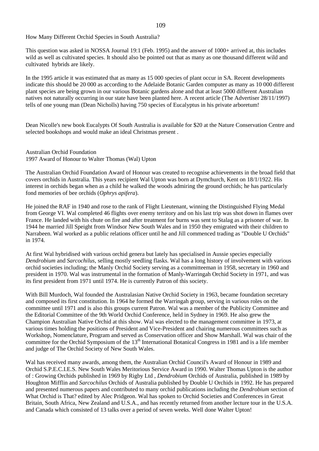How Many Different Orchid Species in South Australia?

This question was asked in NOSSA Journal 19:1 (Feb. 1995) and the answer of 1000+ arrived at, this includes wild as well as cultivated species. It should also be pointed out that as many as one thousand different wild and cultivated hybrids are likely.

In the 1995 article it was estimated that as many as 15 000 species of plant occur in SA. Recent developments indicate this should be 20 000 as according to the Adelaide Botanic Garden computer as many as 10 000 different plant species are being grown in our various Botanic gardens alone and that at least 5000 different Australian natives not naturally occurring in our state have been planted here. A recent article (The Advertiser 28/11/1997) tells of one young man (Dean Nicholls) having 750 species of Eucalyptus in his private arboretum!

Dean Nicolle's new book Eucalypts Of South Australia is available for \$20 at the Nature Conservation Centre and selected bookshops and would make an ideal Christmas present .

Australian Orchid Foundation 1997 Award of Honour to Walter Thomas (Wal) Upton

The Australian Orchid Foundation Award of Honour was created to recognise achievements in the broad field that covers orchids in Australia. This years recipient Wal Upton was born at Dymchurch, Kent on 18/1/1922. His interest in orchids began when as a child he walked the woods admiring the ground orchids; he has particularly fond memories of bee orchids (*Ophrys apifera*).

He joined the RAF in 1940 and rose to the rank of Flight Lieutenant, winning the Distinguished Flying Medal from George VI. Wal completed 46 flights over enemy territory and on his last trip was shot down in flames over France. He landed with his chute on fire and after treatment for burns was sent to Stalag as a prisoner of war. In 1944 he married Jill Speight from Windsor New South Wales and in 1950 they emigrated with their children to Narrabeen. Wal worked as a public relations officer until he and Jill commenced trading as "Double U Orchids" in 1974.

At first Wal hybridised with various orchid genera but lately has specialised in Aussie species especially *Dendrobium* and *Sarcochilus*, selling mostly seedling flasks. Wal has a long history of involvement with various orchid societies including; the Manly Orchid Society serving as a committeeman in 1958, secretary in 1960 and president in 1970. Wal was instrumental in the formation of Manly-Warringah Orchid Society in 1971, and was its first president from 1971 until 1974. He is currently Patron of this society.

With Bill Murdoch, Wal founded the Australasian Native Orchid Society in 1963, became foundation secretary and composed its first constitution. In 1964 he formed the Warringah group, serving in various roles on the committee until 1971 and is also this groups current Patron. Wal was a member of the Publicity Committee and the Editorial Committee of the 9th World Orchid Conference, held in Sydney in 1969. He also grew the Champion Australian Native Orchid at this show. Wal was elected to the management committee in 1973, at various times holding the positions of President and Vice-President and chairing numerous committees such as Workshop, Nomenclature, Program and served as Conservation officer and Show Marshall. Wal was chair of the committee for the Orchid Symposium of the 13<sup>th</sup> International Botanical Congress in 1981 and is a life member and judge of The Orchid Society of New South Wales.

Wal has received many awards, among them, the Australian Orchid Council's Award of Honour in 1989 and Orchid S.P.E.C.I.E.S. New South Wales Meritorious Service Award in 1990. Walter Thomas Upton is the author of : Growing Orchids published in 1969 by Rigby Ltd , *Dendrobium* Orchids of Australia, published in 1989 by Houghton Mifflin and *Sarcochilus* Orchids of Australia published by Double U Orchids in 1992. He has prepared and presented numerous papers and contributed to many orchid publications including the *Dendrobium* section of What Orchid is That? edited by Alec Pridgeon. Wal has spoken to Orchid Societies and Conferences in Great Britain, South Africa, New Zealand and U.S.A., and has recently returned from another lecture tour in the U.S.A. and Canada which consisted of 13 talks over a period of seven weeks. Well done Walter Upton!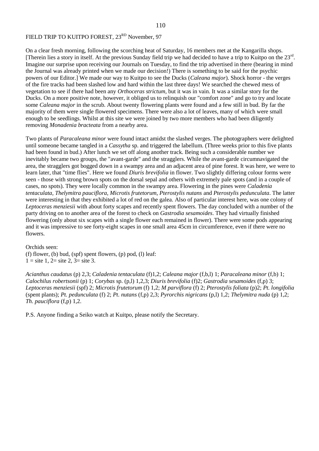## FIELD TRIP TO KUITPO FOREST, 23<sup>RD</sup> November, 97

On a clear fresh morning, following the scorching heat of Saturday, 16 members met at the Kangarilla shops. [Therein lies a story in itself. At the previous Sunday field trip we had decided to have a trip to Kuitpo on the 23<sup>rd</sup>. Imagine our surprise upon receiving our Journals on Tuesday, to find the trip advertised in there (bearing in mind the Journal was already printed when we made our decision!) There is something to be said for the psychic powers of our Editor.] We made our way to Kuitpo to see the Ducks (*Caleana major*). Shock horror - the verges of the fire tracks had been slashed low and hard within the last three days! We searched the chewed mess of vegetation to see if there had been any *Orthoceras strictum*, but it was in vain. It was a similar story for the Ducks. On a more positive note, however, it obliged us to relinquish our "comfort zone" and go to try and locate some *Caleana major* in the scrub. About twenty flowering plants were found and a few still in bud. By far the majority of them were single flowered specimens. There were also a lot of leaves, many of which were small enough to be seedlings. Whilst at this site we were joined by two more members who had been diligently removing *Monadenia bracteata* from a nearby area.

Two plants of *Paracaleana minor* were found intact amidst the slashed verges. The photographers were delighted until someone became tangled in a *Cassytha* sp. and triggered the labellum. (Three weeks prior to this five plants had been found in bud.) After lunch we set off along another track. Being such a considerable number we inevitably became two groups, the "avant-garde" and the stragglers. While the avant-garde circumnavigated the area, the stragglers got bogged down in a swampy area and an adjacent area of pine forest. It was here, we were to learn later, that "time flies". Here we found *Diuris brevifolia* in flower. Two slightly differing colour forms were seen - those with strong brown spots on the dorsal sepal and others with extremely pale spots (and in a couple of cases, no spots). They were locally common in the swampy area. Flowering in the pines were *Caladenia tentaculata, Thelymitra pauciflora, Microtis frutetorum, Pterostylis nutans* and *Pterostylis pedunculata*. The latter were interesting in that they exhibited a lot of red on the galea. Also of particular interest here, was one colony of *Leptoceras menziesii* with about forty scapes and recently spent flowers. The day concluded with a number of the party driving on to another area of the forest to check on *Gastrodia sesamoides*. They had virtually finished flowering (only about six scapes with a single flower each remained in flower). There were some pods appearing and it was impressive to see forty-eight scapes in one small area 45cm in circumference, even if there were no flowers.

#### Orchids seen:

(f) flower, (b) bud, (spf) spent flowers, (p) pod, (l) leaf:  $1 =$  site 1, 2= site 2, 3= site 3.

*Acianthus caudatus* (p) 2,3; *Caladenia tentaculata* (f)1,2; *Caleana major* (f,b,l) 1; *Paracaleana minor* (f,b) 1; *Calochilus robertsonii* (p) 1; *Corybas* sp. (p,l) 1,2,3; *Diuris brevifolia* (f)2; *Gastrodia sesamoides* (f,p) 3; *Leptoceras menziesii* (spf) 2; *Microtis frutetorum* (f) 1,2; *M parviflora* (f) 2; *Pterostylis foliata* (p)2; *Pt. longifolia* (spent plants); *Pt. pedunculata* (f) 2; *Pt. nutans* (f,p) 2,3; *Pyrorchis nigricans* (p,l) 1,2; *Thelymitra nuda* (p) 1,2; *Th. pauciflora* (f,p) 1,2.

P.S. Anyone finding a Seiko watch at Kuitpo, please notify the Secretary.